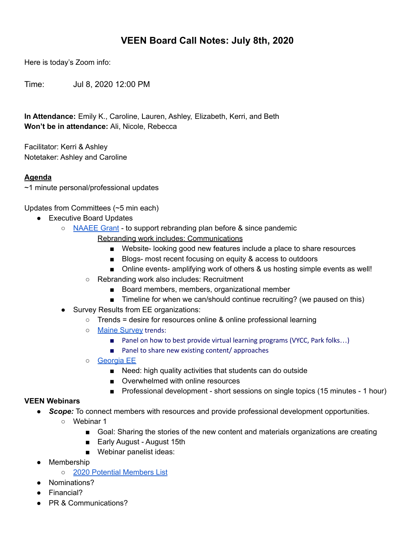# **VEEN Board Call Notes: July 8th, 2020**

Here is today's Zoom info:

Time: Jul 8, 2020 12:00 PM

**In Attendance:** Emily K., Caroline, Lauren, Ashley, Elizabeth, Kerri, and Beth **Won't be in attendance:** Ali, Nicole, Rebecca

Facilitator: Kerri & Ashley Notetaker: Ashley and Caroline

## **Agenda**

~1 minute personal/professional updates

Updates from Committees (~5 min each)

- Executive Board Updates
	- [NAAEE](https://docs.google.com/document/d/1N0yWombdC34v4oz6VHtomrJi0JMR1hmyhEQCQmmTyMs/edit) Grant to support rebranding plan before & since pandemic
		- Rebranding work includes: Communications
			- Website- looking good new features include a place to share resources
			- Blogs- most recent focusing on equity & access to outdoors
			- Online events- amplifying work of others & us hosting simple events as well!
		- Rebranding work also includes: Recruitment
			- Board members, members, organizational member
			- Timeline for when we can/should continue recruiting? (we paused on this)
	- Survey Results from EE organizations:
		- $\circ$  Trends = desire for resources online & online professional learning
		- o Maine [Survey](https://drive.google.com/file/d/19fBqGqcj3vxpnJqRczFrFEOMZ4CXRPNc/view) trends:
			- Panel on how to best provide virtual learning programs (VYCC, Park folks...)
			- Panel to share new existing content/ approaches
		- [Georgia](https://drive.google.com/file/d/1rS2pwvH4et_VPoNXI_bg3BvkH3jH99Q8/view?usp=sharing) EE
			- Need: high quality activities that students can do outside
			- Overwhelmed with online resources
			- Professional development short sessions on single topics (15 minutes 1 hour)

#### **VEEN Webinars**

- *Scope:* To connect members with resources and provide professional development opportunities.
	- Webinar 1
		- Goal: Sharing the stories of the new content and materials organizations are creating
		- Early August August 15th
		- Webinar panelist ideas:
- Membership
	- 2020 Potential [Members](https://docs.google.com/spreadsheets/d/1b0L8UoWQdepw_7vJcIXNSz14rJUtNrk1XLglfYyOU4Y/edit?usp=sharing) List
- Nominations?
- Financial?
- PR & Communications?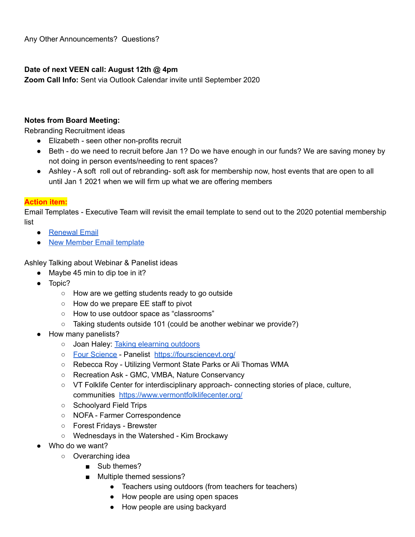## **Date of next VEEN call: August 12th @ 4pm**

**Zoom Call Info:** Sent via Outlook Calendar invite until September 2020

## **Notes from Board Meeting:**

Rebranding Recruitment ideas

- Elizabeth seen other non-profits recruit
- Beth do we need to recruit before Jan 1? Do we have enough in our funds? We are saving money by not doing in person events/needing to rent spaces?
- Ashley A soft roll out of rebranding- soft ask for membership now, host events that are open to all until Jan 1 2021 when we will firm up what we are offering members

## **Action item:**

Email Templates - Executive Team will revisit the email template to send out to the 2020 potential membership list

- [Renewal](https://docs.google.com/document/d/1TMwDfxKgWwEpLvw94DBYj2h6YJDlyhUMA_cqg-UnjEk/edit) Email
- New Member Email [template](https://docs.google.com/document/d/1Dwv2LnjzCNyjx_nFosLGWaWnmzCHICxKca7ughkohjM/edit)

Ashley Talking about Webinar & Panelist ideas

- Maybe 45 min to dip toe in it?
- Topic?
	- How are we getting students ready to go outside
	- How do we prepare EE staff to pivot
	- How to use outdoor space as "classrooms"
	- Taking students outside 101 (could be another webinar we provide?)
- How many panelists?
	- o Joan Haley: Taking [elearning](https://sites.google.com/shelburnefarms.org/taking-elearning-outside/home?authuser=0) outdoors
	- Four [Science](https://foursciencevt.org/) Panelist <https://foursciencevt.org/>
	- Rebecca Roy Utilizing Vermont State Parks or Ali Thomas WMA
	- Recreation Ask GMC, VMBA, Nature Conservancy
	- VT Folklife Center for interdisciplinary approach- connecting stories of place, culture, communities <https://www.vermontfolklifecenter.org/>
	- Schoolyard Field Trips
	- NOFA Farmer Correspondence
	- Forest Fridays Brewster
	- Wednesdays in the Watershed Kim Brockawy
- Who do we want?
	- Overarching idea
		- Sub themes?
		- Multiple themed sessions?
			- Teachers using outdoors (from teachers for teachers)
			- How people are using open spaces
			- How people are using backyard